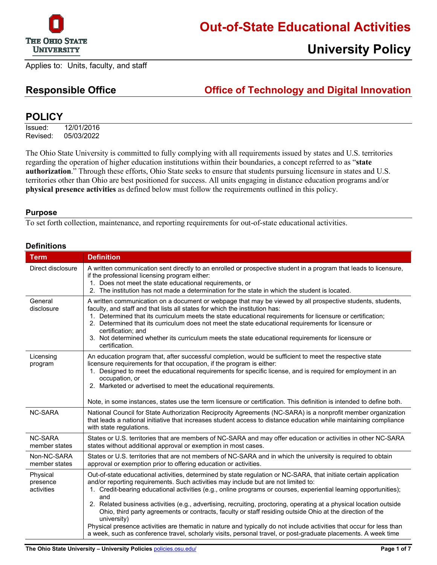

## **Out-of-State Educational Activities**

## **University Policy**

Applies to: Units, faculty, and staff

### **Responsible Office Office of Technology and Digital Innovation**

### **POLICY**

Issued: 12/01/2016 Revised: 05/03/2022

The Ohio State University is committed to fully complying with all requirements issued by states and U.S. territories regarding the operation of higher education institutions within their boundaries, a concept referred to as "**state authorization**." Through these efforts, Ohio State seeks to ensure that students pursuing licensure in states and U.S. territories other than Ohio are best positioned for success. All units engaging in distance education programs and/or **physical presence activities** as defined below must follow the requirements outlined in this policy.

#### **Purpose**

To set forth collection, maintenance, and reporting requirements for out-of-state educational activities.

| <b>Definitions</b>                 |                                                                                                                                                                                                                                                                                                                                                                                                                                                                                                                                                                                                                                                                                                                                                                                                                                  |  |  |
|------------------------------------|----------------------------------------------------------------------------------------------------------------------------------------------------------------------------------------------------------------------------------------------------------------------------------------------------------------------------------------------------------------------------------------------------------------------------------------------------------------------------------------------------------------------------------------------------------------------------------------------------------------------------------------------------------------------------------------------------------------------------------------------------------------------------------------------------------------------------------|--|--|
| <b>Term</b>                        | <b>Definition</b>                                                                                                                                                                                                                                                                                                                                                                                                                                                                                                                                                                                                                                                                                                                                                                                                                |  |  |
| Direct disclosure                  | A written communication sent directly to an enrolled or prospective student in a program that leads to licensure,<br>if the professional licensing program either:<br>1. Does not meet the state educational requirements, or<br>2. The institution has not made a determination for the state in which the student is located.                                                                                                                                                                                                                                                                                                                                                                                                                                                                                                  |  |  |
| General<br>disclosure              | A written communication on a document or webpage that may be viewed by all prospective students, students,<br>faculty, and staff and that lists all states for which the institution has:<br>1. Determined that its curriculum meets the state educational requirements for licensure or certification;<br>2. Determined that its curriculum does not meet the state educational requirements for licensure or<br>certification; and<br>3. Not determined whether its curriculum meets the state educational requirements for licensure or<br>certification.                                                                                                                                                                                                                                                                     |  |  |
| Licensing<br>program               | An education program that, after successful completion, would be sufficient to meet the respective state<br>licensure requirements for that occupation, if the program is either:<br>1. Designed to meet the educational requirements for specific license, and is required for employment in an<br>occupation, or<br>2. Marketed or advertised to meet the educational requirements.<br>Note, in some instances, states use the term licensure or certification. This definition is intended to define both.                                                                                                                                                                                                                                                                                                                    |  |  |
| <b>NC-SARA</b>                     | National Council for State Authorization Reciprocity Agreements (NC-SARA) is a nonprofit member organization<br>that leads a national initiative that increases student access to distance education while maintaining compliance<br>with state regulations.                                                                                                                                                                                                                                                                                                                                                                                                                                                                                                                                                                     |  |  |
| <b>NC-SARA</b><br>member states    | States or U.S. territories that are members of NC-SARA and may offer education or activities in other NC-SARA<br>states without additional approval or exemption in most cases.                                                                                                                                                                                                                                                                                                                                                                                                                                                                                                                                                                                                                                                  |  |  |
| Non-NC-SARA<br>member states       | States or U.S. territories that are not members of NC-SARA and in which the university is required to obtain<br>approval or exemption prior to offering education or activities.                                                                                                                                                                                                                                                                                                                                                                                                                                                                                                                                                                                                                                                 |  |  |
| Physical<br>presence<br>activities | Out-of-state educational activities, determined by state regulation or NC-SARA, that initiate certain application<br>and/or reporting requirements. Such activities may include but are not limited to:<br>1. Credit-bearing educational activities (e.g., online programs or courses, experiential learning opportunities);<br>and<br>2. Related business activities (e.g., advertising, recruiting, proctoring, operating at a physical location outside<br>Ohio, third party agreements or contracts, faculty or staff residing outside Ohio at the direction of the<br>university)<br>Physical presence activities are thematic in nature and typically do not include activities that occur for less than<br>a week, such as conference travel, scholarly visits, personal travel, or post-graduate placements. A week time |  |  |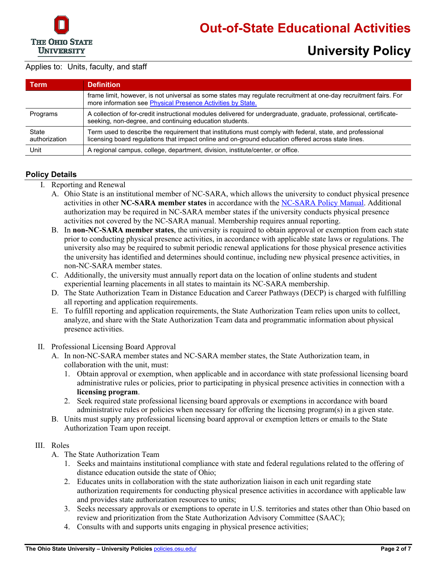

| Term                   | <b>Definition</b>                                                                                                                                                                                               |
|------------------------|-----------------------------------------------------------------------------------------------------------------------------------------------------------------------------------------------------------------|
|                        | frame limit, however, is not universal as some states may regulate recruitment at one-day recruitment fairs. For<br>more information see Physical Presence Activities by State.                                 |
| Programs               | A collection of for-credit instructional modules delivered for undergraduate, graduate, professional, certificate-<br>seeking, non-degree, and continuing education students.                                   |
| State<br>authorization | Term used to describe the requirement that institutions must comply with federal, state, and professional<br>licensing board regulations that impact online and on-ground education offered across state lines. |
| Unit                   | A regional campus, college, department, division, institute/center, or office.                                                                                                                                  |

#### **Policy Details**

- I. Reporting and Renewal
	- A. Ohio State is an institutional member of NC-SARA, which allows the university to conduct physical presence activities in other **NC-SARA member states** in accordance with the [NC-SARA Policy Manual.](https://nc-sara.org/sara-policy-manual) Additional authorization may be required in NC-SARA member states if the university conducts physical presence activities not covered by the NC-SARA manual. Membership requires annual reporting.
	- B. In **non-NC-SARA member states**, the university is required to obtain approval or exemption from each state prior to conducting physical presence activities, in accordance with applicable state laws or regulations. The university also may be required to submit periodic renewal applications for those physical presence activities the university has identified and determines should continue, including new physical presence activities, in non-NC-SARA member states.
	- C. Additionally, the university must annually report data on the location of online students and student experiential learning placements in all states to maintain its NC-SARA membership.
	- D. The State Authorization Team in Distance Education and Career Pathways (DECP) is charged with fulfilling all reporting and application requirements.
	- E. To fulfill reporting and application requirements, the State Authorization Team relies upon units to collect, analyze, and share with the State Authorization Team data and programmatic information about physical presence activities.
- II. Professional Licensing Board Approval
	- A. In non-NC-SARA member states and NC-SARA member states, the State Authorization team, in collaboration with the unit, must:
		- 1. Obtain approval or exemption, when applicable and in accordance with state professional licensing board administrative rules or policies, prior to participating in physical presence activities in connection with a **licensing program**.
		- 2. Seek required state professional licensing board approvals or exemptions in accordance with board administrative rules or policies when necessary for offering the licensing program(s) in a given state.
	- B. Units must supply any professional licensing board approval or exemption letters or emails to the State Authorization Team upon receipt.

#### III. Roles

- A. The State Authorization Team
	- 1. Seeks and maintains institutional compliance with state and federal regulations related to the offering of distance education outside the state of Ohio;
	- 2. Educates units in collaboration with the state authorization liaison in each unit regarding state authorization requirements for conducting physical presence activities in accordance with applicable law and provides state authorization resources to units;
	- 3. Seeks necessary approvals or exemptions to operate in U.S. territories and states other than Ohio based on review and prioritization from the State Authorization Advisory Committee (SAAC);
	- 4. Consults with and supports units engaging in physical presence activities;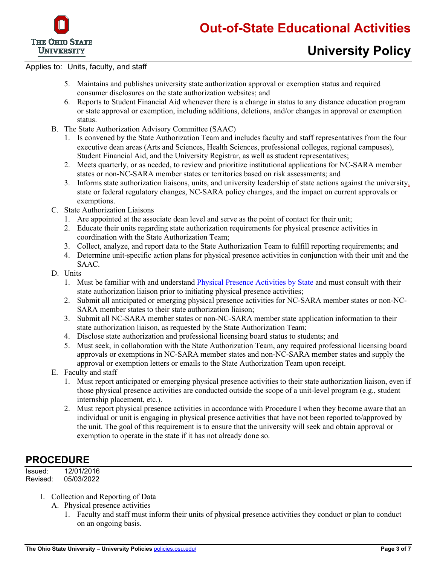

- 5. Maintains and publishes university state authorization approval or exemption status and required consumer disclosures on the state authorization websites; and
- 6. Reports to Student Financial Aid whenever there is a change in status to any distance education program or state approval or exemption, including additions, deletions, and/or changes in approval or exemption status.
- B. The State Authorization Advisory Committee (SAAC)
	- 1. Is convened by the State Authorization Team and includes faculty and staff representatives from the four executive dean areas (Arts and Sciences, Health Sciences, professional colleges, regional campuses), Student Financial Aid, and the University Registrar, as well as student representatives;
	- 2. Meets quarterly, or as needed, to review and prioritize institutional applications for NC-SARA member states or non-NC-SARA member states or territories based on risk assessments; and
	- 3. Informs state authorization liaisons, units, and university leadership of state actions against the university, state or federal regulatory changes, NC-SARA policy changes, and the impact on current approvals or exemptions.
- C. State Authorization Liaisons
	- 1. Are appointed at the associate dean level and serve as the point of contact for their unit;
	- 2. Educate their units regarding state authorization requirements for physical presence activities in coordination with the State Authorization Team;
	- 3. Collect, analyze, and report data to the State Authorization Team to fulfill reporting requirements; and
	- 4. Determine unit-specific action plans for physical presence activities in conjunction with their unit and the SAAC.
- D. Units
	- 1. Must be familiar with and understand [Physical Presence Activities by State](http://go.osu.edu/stateauth-bystate) and must consult with their state authorization liaison prior to initiating physical presence activities;
	- 2. Submit all anticipated or emerging physical presence activities for NC-SARA member states or non-NC-SARA member states to their state authorization liaison;
	- 3. Submit all NC-SARA member states or non-NC-SARA member state application information to their state authorization liaison, as requested by the State Authorization Team;
	- 4. Disclose state authorization and professional licensing board status to students; and
	- 5. Must seek, in collaboration with the State Authorization Team, any required professional licensing board approvals or exemptions in NC-SARA member states and non-NC-SARA member states and supply the approval or exemption letters or emails to the State Authorization Team upon receipt.
- E. Faculty and staff
	- 1. Must report anticipated or emerging physical presence activities to their state authorization liaison, even if those physical presence activities are conducted outside the scope of a unit-level program (e.g., student internship placement, etc.).
	- 2. Must report physical presence activities in accordance with Procedure I when they become aware that an individual or unit is engaging in physical presence activities that have not been reported to/approved by the unit. The goal of this requirement is to ensure that the university will seek and obtain approval or exemption to operate in the state if it has not already done so.

### **PROCEDURE**

Issued: 12/01/2016<br>Revised: 05/03/2022 05/03/2022

- I. Collection and Reporting of Data
	- A. Physical presence activities
		- 1. Faculty and staff must inform their units of physical presence activities they conduct or plan to conduct on an ongoing basis.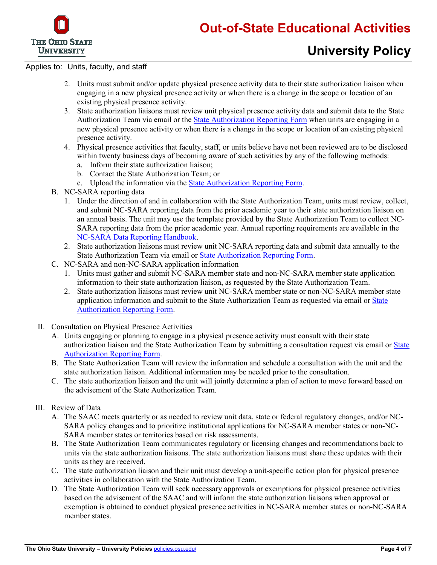

- 2. Units must submit and/or update physical presence activity data to their state authorization liaison when engaging in a new physical presence activity or when there is a change in the scope or location of an existing physical presence activity.
- 3. State authorization liaisons must review unit physical presence activity data and submit data to the State Authorization Team via email or the [State Authorization Reporting Form](http://go.osu.edu/stateauth-reportingform) when units are engaging in a new physical presence activity or when there is a change in the scope or location of an existing physical presence activity.
- 4. Physical presence activities that faculty, staff, or units believe have not been reviewed are to be disclosed within twenty business days of becoming aware of such activities by any of the following methods:
	- a. Inform their state authorization liaison;
	- b. Contact the State Authorization Team; or
	- c. Upload the information via the [State Authorization Reporting Form.](http://go.osu.edu/stateauth-reportingform)
- B. NC-SARA reporting data
	- 1. Under the direction of and in collaboration with the State Authorization Team, units must review, collect, and submit NC-SARA reporting data from the prior academic year to their state authorization liaison on an annual basis. The unit may use the template provided by the State Authorization Team to collect NC-SARA reporting data from the prior academic year. Annual reporting requirements are available in the [NC-SARA Data Reporting Handbook.](https://nc-sara.org/institutional-data-reporting)
	- 2. State authorization liaisons must review unit NC-SARA reporting data and submit data annually to the State Authorization Team via email o[r State Authorization Reporting Form.](http://go.osu.edu/stateauth-reportingform)
- C. NC-SARA and non-NC-SARA application information
	- 1. Units must gather and submit NC-SARA member state and non-NC-SARA member state application information to their state authorization liaison, as requested by the State Authorization Team.
	- 2. State authorization liaisons must review unit NC-SARA member state or non-NC-SARA member state application information and submit to the State Authorization Team as requested via email or [State](http://go.osu.edu/stateauth-reportingform) [Authorization Reporting Form.](http://go.osu.edu/stateauth-reportingform)
- II. Consultation on Physical Presence Activities
	- A. Units engaging or planning to engage in a physical presence activity must consult with their state authorization liaison and the State Authorization Team by submitting a consultation request via email o[r State](http://go.osu.edu/stateauth-reportingform) [Authorization Reporting Form.](http://go.osu.edu/stateauth-reportingform)
	- B. The State Authorization Team will review the information and schedule a consultation with the unit and the state authorization liaison. Additional information may be needed prior to the consultation.
	- C. The state authorization liaison and the unit will jointly determine a plan of action to move forward based on the advisement of the State Authorization Team.

#### III. Review of Data

- A. The SAAC meets quarterly or as needed to review unit data, state or federal regulatory changes, and/or NC-SARA policy changes and to prioritize institutional applications for NC-SARA member states or non-NC-SARA member states or territories based on risk assessments.
- B. The State Authorization Team communicates regulatory or licensing changes and recommendations back to units via the state authorization liaisons. The state authorization liaisons must share these updates with their units as they are received.
- C. The state authorization liaison and their unit must develop a unit-specific action plan for physical presence activities in collaboration with the State Authorization Team.
- D. The State Authorization Team will seek necessary approvals or exemptions for physical presence activities based on the advisement of the SAAC and will inform the state authorization liaisons when approval or exemption is obtained to conduct physical presence activities in NC-SARA member states or non-NC-SARA member states.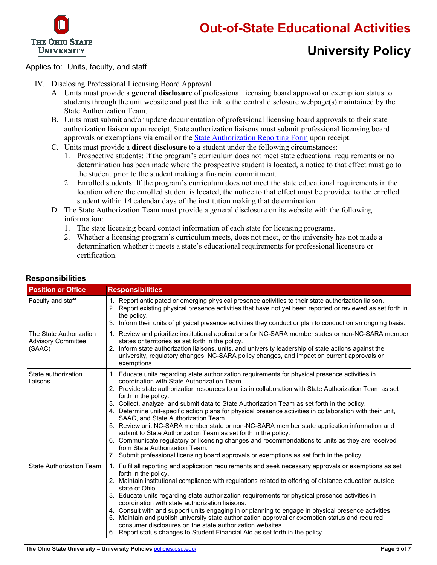

- IV. Disclosing Professional Licensing Board Approval
	- A. Units must provide a **general disclosure** of professional licensing board approval or exemption status to students through the unit website and post the link to the central disclosure webpage(s) maintained by the State Authorization Team.
	- B. Units must submit and/or update documentation of professional licensing board approvals to their state authorization liaison upon receipt. State authorization liaisons must submit professional licensing board approvals or exemptions via email or the [State Authorization Reporting Form](http://go.osu.edu/stateauth-reportingform) upon receipt.
	- C. Units must provide a **direct disclosure** to a student under the following circumstances:
		- 1. Prospective students: If the program's curriculum does not meet state educational requirements or no determination has been made where the prospective student is located, a notice to that effect must go to the student prior to the student making a financial commitment.
		- 2. Enrolled students: If the program's curriculum does not meet the state educational requirements in the location where the enrolled student is located, the notice to that effect must be provided to the enrolled student within 14 calendar days of the institution making that determination.
	- D. The State Authorization Team must provide a general disclosure on its website with the following information:
		- 1. The state licensing board contact information of each state for licensing programs.
		- 2. Whether a licensing program's curriculum meets, does not meet, or the university has not made a determination whether it meets a state's educational requirements for professional licensure or certification.

| <b>Position or Office</b>                                      | <b>Responsibilities</b>                                                                                                                                                                                                                                                                                                                                                                                                                                                                                                                                                                                                                                                                                                                                                                                                                                                                                                                     |
|----------------------------------------------------------------|---------------------------------------------------------------------------------------------------------------------------------------------------------------------------------------------------------------------------------------------------------------------------------------------------------------------------------------------------------------------------------------------------------------------------------------------------------------------------------------------------------------------------------------------------------------------------------------------------------------------------------------------------------------------------------------------------------------------------------------------------------------------------------------------------------------------------------------------------------------------------------------------------------------------------------------------|
| Faculty and staff                                              | 1. Report anticipated or emerging physical presence activities to their state authorization liaison.<br>2. Report existing physical presence activities that have not yet been reported or reviewed as set forth in<br>the policy.<br>3. Inform their units of physical presence activities they conduct or plan to conduct on an ongoing basis.                                                                                                                                                                                                                                                                                                                                                                                                                                                                                                                                                                                            |
| The State Authorization<br><b>Advisory Committee</b><br>(SAAC) | 1. Review and prioritize institutional applications for NC-SARA member states or non-NC-SARA member<br>states or territories as set forth in the policy.<br>2. Inform state authorization liaisons, units, and university leadership of state actions against the<br>university, regulatory changes, NC-SARA policy changes, and impact on current approvals or<br>exemptions.                                                                                                                                                                                                                                                                                                                                                                                                                                                                                                                                                              |
| State authorization<br>liaisons                                | 1. Educate units regarding state authorization requirements for physical presence activities in<br>coordination with State Authorization Team.<br>2. Provide state authorization resources to units in collaboration with State Authorization Team as set<br>forth in the policy.<br>3. Collect, analyze, and submit data to State Authorization Team as set forth in the policy.<br>4. Determine unit-specific action plans for physical presence activities in collaboration with their unit,<br>SAAC, and State Authorization Team.<br>5. Review unit NC-SARA member state or non-NC-SARA member state application information and<br>submit to State Authorization Team as set forth in the policy.<br>6. Communicate regulatory or licensing changes and recommendations to units as they are received<br>from State Authorization Team.<br>7. Submit professional licensing board approvals or exemptions as set forth in the policy. |
| <b>State Authorization Team</b>                                | 1. Fulfil all reporting and application requirements and seek necessary approvals or exemptions as set<br>forth in the policy.<br>2. Maintain institutional compliance with regulations related to offering of distance education outside<br>state of Ohio.<br>3. Educate units regarding state authorization requirements for physical presence activities in<br>coordination with state authorization liaisons.<br>4. Consult with and support units engaging in or planning to engage in physical presence activities.<br>5. Maintain and publish university state authorization approval or exemption status and required<br>consumer disclosures on the state authorization websites.<br>6. Report status changes to Student Financial Aid as set forth in the policy.                                                                                                                                                                 |

#### **Responsibilities**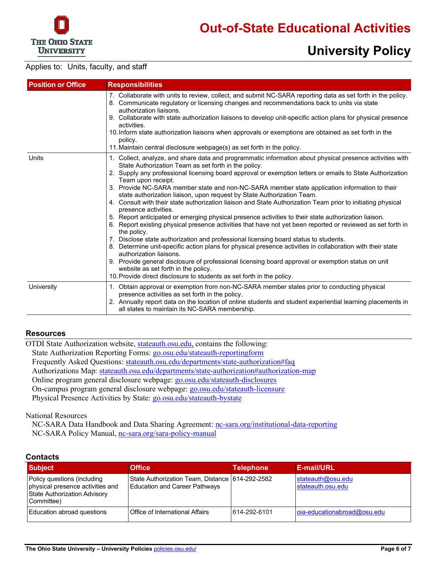

# **University Policy**

#### Applies to: Units, faculty, and staff

| <b>Position or Office</b> | <b>Responsibilities</b>                                                                                                                                                                                                                                                                                                                                                                                                                                                                                                                                                                                                                                                                                                                                                                                                                                                                                                                                                                                                                                                                                                                                                                                                                                                                                            |  |  |  |
|---------------------------|--------------------------------------------------------------------------------------------------------------------------------------------------------------------------------------------------------------------------------------------------------------------------------------------------------------------------------------------------------------------------------------------------------------------------------------------------------------------------------------------------------------------------------------------------------------------------------------------------------------------------------------------------------------------------------------------------------------------------------------------------------------------------------------------------------------------------------------------------------------------------------------------------------------------------------------------------------------------------------------------------------------------------------------------------------------------------------------------------------------------------------------------------------------------------------------------------------------------------------------------------------------------------------------------------------------------|--|--|--|
|                           | 7. Collaborate with units to review, collect, and submit NC-SARA reporting data as set forth in the policy.<br>8. Communicate regulatory or licensing changes and recommendations back to units via state<br>authorization liaisons.<br>9. Collaborate with state authorization liaisons to develop unit-specific action plans for physical presence<br>activities.<br>10. Inform state authorization liaisons when approvals or exemptions are obtained as set forth in the<br>policy.<br>11. Maintain central disclosure webpage(s) as set forth in the policy.                                                                                                                                                                                                                                                                                                                                                                                                                                                                                                                                                                                                                                                                                                                                                  |  |  |  |
| Units                     | 1. Collect, analyze, and share data and programmatic information about physical presence activities with<br>State Authorization Team as set forth in the policy.<br>2. Supply any professional licensing board approval or exemption letters or emails to State Authorization<br>Team upon receipt.<br>3. Provide NC-SARA member state and non-NC-SARA member state application information to their<br>state authorization liaison, upon request by State Authorization Team.<br>4. Consult with their state authorization liaison and State Authorization Team prior to initiating physical<br>presence activities.<br>5. Report anticipated or emerging physical presence activities to their state authorization liaison.<br>6. Report existing physical presence activities that have not yet been reported or reviewed as set forth in<br>the policy.<br>7. Disclose state authorization and professional licensing board status to students.<br>8. Determine unit-specific action plans for physical presence activities in collaboration with their state<br>authorization liaisons.<br>9. Provide general disclosure of professional licensing board approval or exemption status on unit<br>website as set forth in the policy.<br>10. Provide direct disclosure to students as set forth in the policy. |  |  |  |
| University                | 1. Obtain approval or exemption from non-NC-SARA member states prior to conducting physical<br>presence activities as set forth in the policy.<br>2. Annually report data on the location of online students and student experiential learning placements in<br>all states to maintain its NC-SARA membership.                                                                                                                                                                                                                                                                                                                                                                                                                                                                                                                                                                                                                                                                                                                                                                                                                                                                                                                                                                                                     |  |  |  |

#### **Resources**

OTDI State Authorization website[, stateauth.osu.edu,](https://stateauth.osu.edu/) contains the following: State Authorization Reporting Forms: [go.osu.edu/stateauth-reportingform](http://go.osu.edu/stateauth-reportingform) Frequently Asked Questions: [stateauth.osu.edu/departments/state-authorization#faq](http://stateauth.osu.edu/departments/state-authorization#faq) Authorizations Map: [stateauth.osu.edu/departments/state-authorization#authorization-map](http://stateauth.osu.edu/departments/state-authorization#authorization-map) Online program general disclosure webpage: [go.osu.edu/stateauth-disclosures](http://go.osu.edu/stateauth-disclosures) On-campus program general disclosure webpage: [go.osu.edu/stateauth-licensure](http://go.osu.edu/stateauth-licensure) Physical Presence Activities by State: [go.osu.edu/stateauth-bystate](http://go.osu.edu/stateauth-bystate)

#### National Resources

NC-SARA Data Handbook and Data Sharing Agreement: [nc-sara.org/institutional-data-reporting](https://nc-sara.org/institutional-data-reporting) NC-SARA Policy Manual, [nc-sara.org/sara-policy-manual](https://nc-sara.org/sara-policy-manual)

#### **Contacts**

| <b>Subject</b>                                                                                                | Officeˈ                                                                           | <b>Telephone</b> | E-mail/URL                             |
|---------------------------------------------------------------------------------------------------------------|-----------------------------------------------------------------------------------|------------------|----------------------------------------|
| Policy questions (including<br>physical presence activities and<br>State Authorization Advisory<br>Committee) | State Authorization Team, Distance 1614-292-2582<br>Education and Career Pathways |                  | stateauth@osu.edu<br>stateauth.osu.edu |
| Education abroad questions                                                                                    | Office of International Affairs                                                   | 614-292-6101     | oia-educationabroad@osu.edu            |